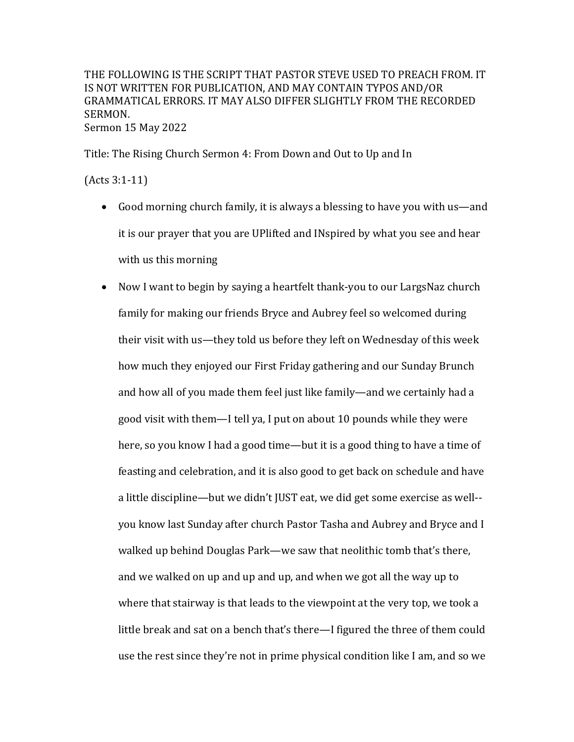THE FOLLOWING IS THE SCRIPT THAT PASTOR STEVE USED TO PREACH FROM. IT IS NOT WRITTEN FOR PUBLICATION, AND MAY CONTAIN TYPOS AND/OR GRAMMATICAL ERRORS. IT MAY ALSO DIFFER SLIGHTLY FROM THE RECORDED SERMON. Sermon 15 May 2022

Title: The Rising Church Sermon 4: From Down and Out to Up and In

 $(Acts 3:1-11)$ 

- Good morning church family, it is always a blessing to have you with us—and it is our prayer that you are UPlifted and INspired by what you see and hear with us this morning
- Now I want to begin by saying a heartfelt thank-you to our LargsNaz church family for making our friends Bryce and Aubrey feel so welcomed during their visit with us—they told us before they left on Wednesday of this week how much they enjoyed our First Friday gathering and our Sunday Brunch and how all of you made them feel just like family—and we certainly had a good visit with them—I tell ya, I put on about 10 pounds while they were here, so you know I had a good time—but it is a good thing to have a time of feasting and celebration, and it is also good to get back on schedule and have a little discipline—but we didn't JUST eat, we did get some exercise as well-you know last Sunday after church Pastor Tasha and Aubrey and Bryce and I walked up behind Douglas Park—we saw that neolithic tomb that's there, and we walked on up and up and up, and when we got all the way up to where that stairway is that leads to the viewpoint at the very top, we took a little break and sat on a bench that's there—I figured the three of them could use the rest since they're not in prime physical condition like I am, and so we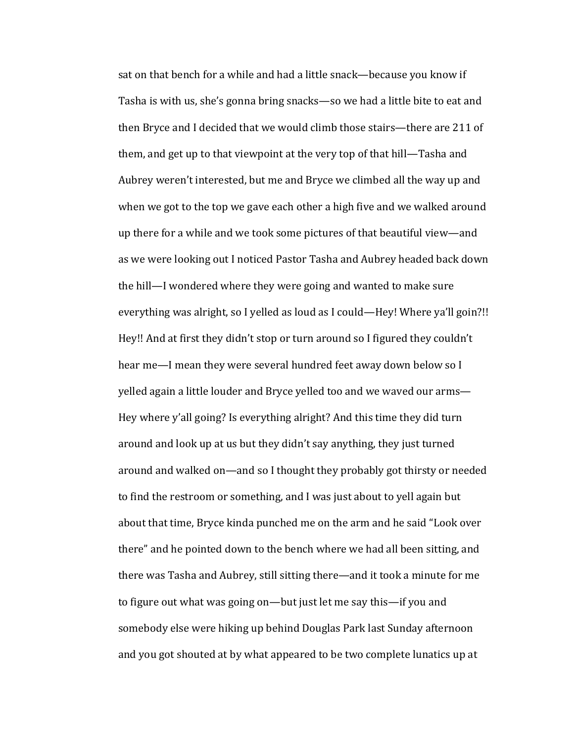sat on that bench for a while and had a little snack—because you know if Tasha is with us, she's gonna bring snacks—so we had a little bite to eat and then Bryce and I decided that we would climb those stairs—there are 211 of them, and get up to that viewpoint at the very top of that hill—Tasha and Aubrey weren't interested, but me and Bryce we climbed all the way up and when we got to the top we gave each other a high five and we walked around up there for a while and we took some pictures of that beautiful view—and as we were looking out I noticed Pastor Tasha and Aubrey headed back down the hill—I wondered where they were going and wanted to make sure everything was alright, so I yelled as loud as I could—Hey! Where ya'll goin?!! Hey!! And at first they didn't stop or turn around so I figured they couldn't hear me—I mean they were several hundred feet away down below so I yelled again a little louder and Bryce yelled too and we waved our arms— Hey where y'all going? Is everything alright? And this time they did turn around and look up at us but they didn't say anything, they just turned around and walked on—and so I thought they probably got thirsty or needed to find the restroom or something, and I was just about to yell again but about that time, Bryce kinda punched me on the arm and he said "Look over there" and he pointed down to the bench where we had all been sitting, and there was Tasha and Aubrey, still sitting there—and it took a minute for me to figure out what was going on-but just let me say this-if you and somebody else were hiking up behind Douglas Park last Sunday afternoon and you got shouted at by what appeared to be two complete lunatics up at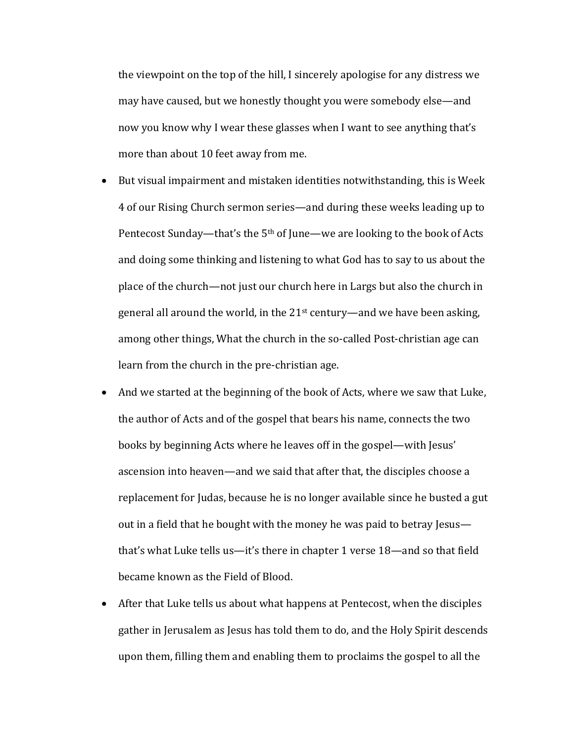the viewpoint on the top of the hill, I sincerely apologise for any distress we may have caused, but we honestly thought you were somebody else—and now you know why I wear these glasses when I want to see anything that's more than about 10 feet away from me.

- But visual impairment and mistaken identities notwithstanding, this is Week 4 of our Rising Church sermon series—and during these weeks leading up to Pentecost Sunday—that's the  $5<sup>th</sup>$  of June—we are looking to the book of Acts and doing some thinking and listening to what God has to say to us about the place of the church—not just our church here in Largs but also the church in general all around the world, in the  $21<sup>st</sup>$  century—and we have been asking, among other things, What the church in the so-called Post-christian age can learn from the church in the pre-christian age.
- And we started at the beginning of the book of Acts, where we saw that Luke, the author of Acts and of the gospel that bears his name, connects the two books by beginning Acts where he leaves off in the gospel—with Jesus' ascension into heaven—and we said that after that, the disciples choose a replacement for Judas, because he is no longer available since he busted a gut out in a field that he bought with the money he was paid to betray Jesus that's what Luke tells us—it's there in chapter 1 verse  $18$ —and so that field became known as the Field of Blood.
- After that Luke tells us about what happens at Pentecost, when the disciples gather in Jerusalem as Jesus has told them to do, and the Holy Spirit descends upon them, filling them and enabling them to proclaims the gospel to all the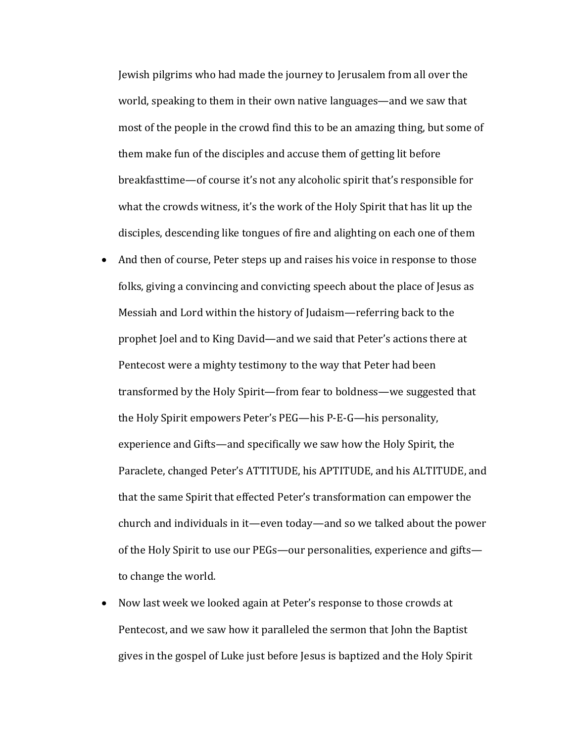Jewish pilgrims who had made the journey to Jerusalem from all over the world, speaking to them in their own native languages—and we saw that most of the people in the crowd find this to be an amazing thing, but some of them make fun of the disciples and accuse them of getting lit before breakfasttime—of course it's not any alcoholic spirit that's responsible for what the crowds witness, it's the work of the Holy Spirit that has lit up the disciples, descending like tongues of fire and alighting on each one of them

- And then of course, Peter steps up and raises his voice in response to those folks, giving a convincing and convicting speech about the place of Jesus as Messiah and Lord within the history of Judaism—referring back to the prophet Joel and to King David—and we said that Peter's actions there at Pentecost were a mighty testimony to the way that Peter had been transformed by the Holy Spirit—from fear to boldness—we suggested that the Holy Spirit empowers Peter's PEG—his P-E-G—his personality, experience and Gifts—and specifically we saw how the Holy Spirit, the Paraclete, changed Peter's ATTITUDE, his APTITUDE, and his ALTITUDE, and that the same Spirit that effected Peter's transformation can empower the church and individuals in it—even today—and so we talked about the power of the Holy Spirit to use our PEGs—our personalities, experience and gifts to change the world.
- Now last week we looked again at Peter's response to those crowds at Pentecost, and we saw how it paralleled the sermon that John the Baptist gives in the gospel of Luke just before Jesus is baptized and the Holy Spirit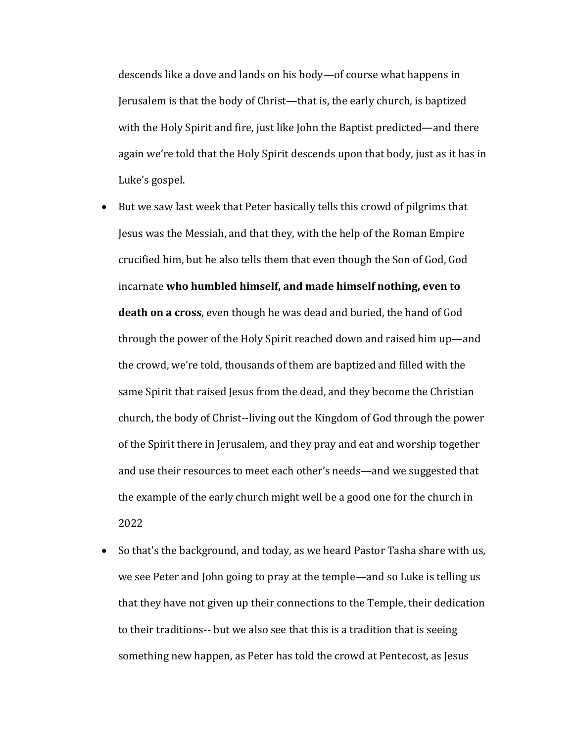descends like a dove and lands on his body—of course what happens in Jerusalem is that the body of Christ—that is, the early church, is baptized with the Holy Spirit and fire, just like John the Baptist predicted—and there again we're told that the Holy Spirit descends upon that body, just as it has in Luke's gospel.

- But we saw last week that Peter basically tells this crowd of pilgrims that Jesus was the Messiah, and that they, with the help of the Roman Empire crucified him, but he also tells them that even though the Son of God, God incarnate who humbled himself, and made himself nothing, even to **death on a cross**, even though he was dead and buried, the hand of God through the power of the Holy Spirit reached down and raised him up—and the crowd, we're told, thousands of them are baptized and filled with the same Spirit that raised Jesus from the dead, and they become the Christian church, the body of Christ--living out the Kingdom of God through the power of the Spirit there in Jerusalem, and they pray and eat and worship together and use their resources to meet each other's needs—and we suggested that the example of the early church might well be a good one for the church in 2022
- So that's the background, and today, as we heard Pastor Tasha share with us, we see Peter and John going to pray at the temple—and so Luke is telling us that they have not given up their connections to the Temple, their dedication to their traditions-- but we also see that this is a tradition that is seeing something new happen, as Peter has told the crowd at Pentecost, as Jesus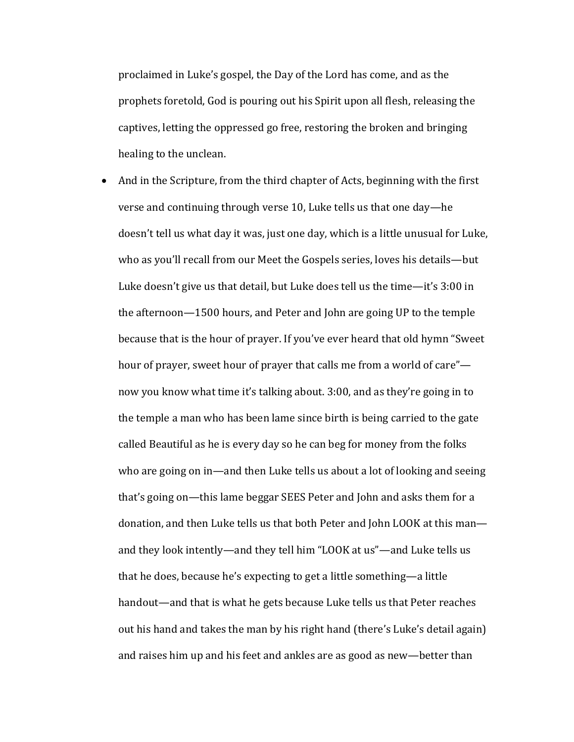proclaimed in Luke's gospel, the Day of the Lord has come, and as the prophets foretold, God is pouring out his Spirit upon all flesh, releasing the captives, letting the oppressed go free, restoring the broken and bringing healing to the unclean.

And in the Scripture, from the third chapter of Acts, beginning with the first verse and continuing through verse 10, Luke tells us that one day—he doesn't tell us what day it was, just one day, which is a little unusual for Luke, who as you'll recall from our Meet the Gospels series, loves his details—but Luke doesn't give us that detail, but Luke does tell us the time—it's  $3:00$  in the afternoon—1500 hours, and Peter and John are going UP to the temple because that is the hour of prayer. If you've ever heard that old hymn "Sweet" hour of prayer, sweet hour of prayer that calls me from a world of care" now you know what time it's talking about. 3:00, and as they're going in to the temple a man who has been lame since birth is being carried to the gate called Beautiful as he is every day so he can beg for money from the folks who are going on in—and then Luke tells us about a lot of looking and seeing that's going on—this lame beggar SEES Peter and John and asks them for a donation, and then Luke tells us that both Peter and John LOOK at this manand they look intently—and they tell him "LOOK at us"—and Luke tells us that he does, because he's expecting to get a little something—a little handout—and that is what he gets because Luke tells us that Peter reaches out his hand and takes the man by his right hand (there's Luke's detail again) and raises him up and his feet and ankles are as good as new—better than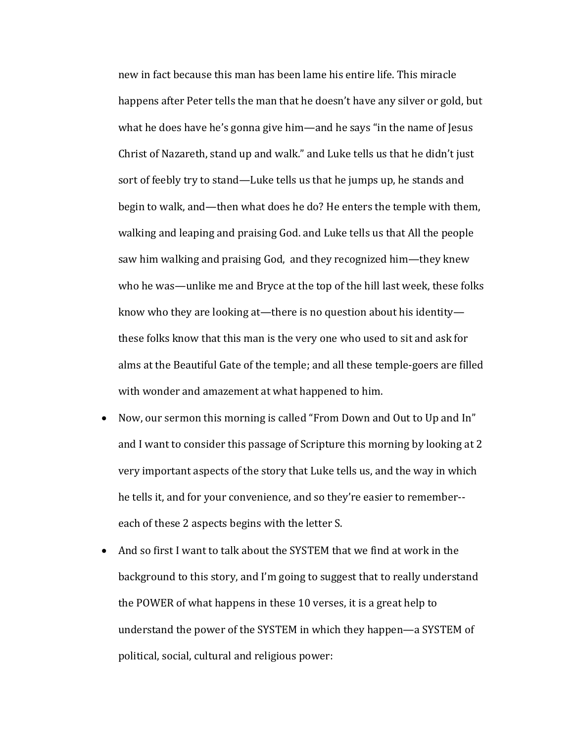new in fact because this man has been lame his entire life. This miracle happens after Peter tells the man that he doesn't have any silver or gold, but what he does have he's gonna give him—and he says "in the name of Jesus" Christ of Nazareth, stand up and walk." and Luke tells us that he didn't just sort of feebly try to stand—Luke tells us that he jumps up, he stands and begin to walk, and—then what does he do? He enters the temple with them, walking and leaping and praising God. and Luke tells us that All the people saw him walking and praising God, and they recognized him—they knew who he was—unlike me and Bryce at the top of the hill last week, these folks know who they are looking at—there is no question about his identity these folks know that this man is the very one who used to sit and ask for alms at the Beautiful Gate of the temple; and all these temple-goers are filled with wonder and amazement at what happened to him.

- Now, our sermon this morning is called "From Down and Out to Up and In" and I want to consider this passage of Scripture this morning by looking at 2 very important aspects of the story that Luke tells us, and the way in which he tells it, and for your convenience, and so they're easier to remember-each of these 2 aspects begins with the letter S.
- And so first I want to talk about the SYSTEM that we find at work in the background to this story, and I'm going to suggest that to really understand the POWER of what happens in these 10 verses, it is a great help to understand the power of the SYSTEM in which they happen—a SYSTEM of political, social, cultural and religious power: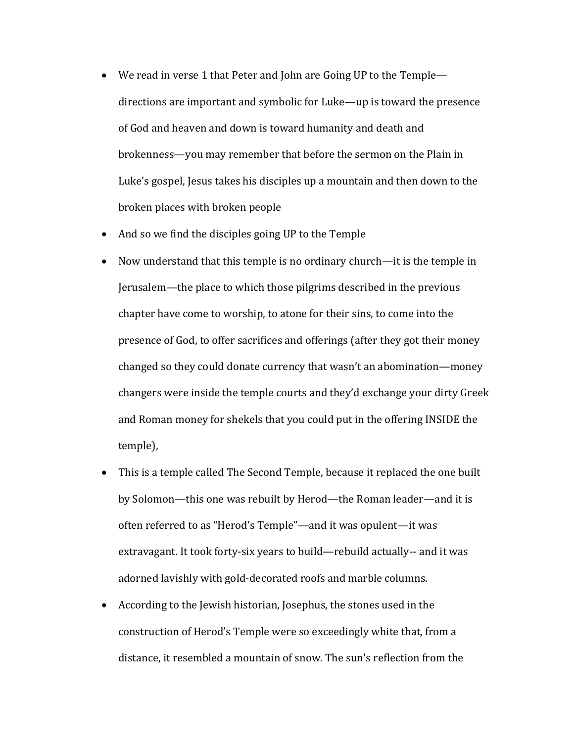- We read in verse 1 that Peter and John are Going UP to the Temple directions are important and symbolic for Luke—up is toward the presence of God and heaven and down is toward humanity and death and brokenness—you may remember that before the sermon on the Plain in Luke's gospel, Jesus takes his disciples up a mountain and then down to the broken places with broken people
- And so we find the disciples going UP to the Temple
- Now understand that this temple is no ordinary church—it is the temple in Jerusalem—the place to which those pilgrims described in the previous chapter have come to worship, to atone for their sins, to come into the presence of God, to offer sacrifices and offerings (after they got their money changed so they could donate currency that wasn't an abomination—money changers were inside the temple courts and they'd exchange your dirty Greek and Roman money for shekels that you could put in the offering INSIDE the temple),
- This is a temple called The Second Temple, because it replaced the one built by Solomon—this one was rebuilt by Herod—the Roman leader—and it is often referred to as "Herod's Temple"—and it was opulent—it was extravagant. It took forty-six years to build—rebuild actually-- and it was adorned lavishly with gold-decorated roofs and marble columns.
- According to the Jewish historian, Josephus, the stones used in the construction of Herod's Temple were so exceedingly white that, from a distance, it resembled a mountain of snow. The sun's reflection from the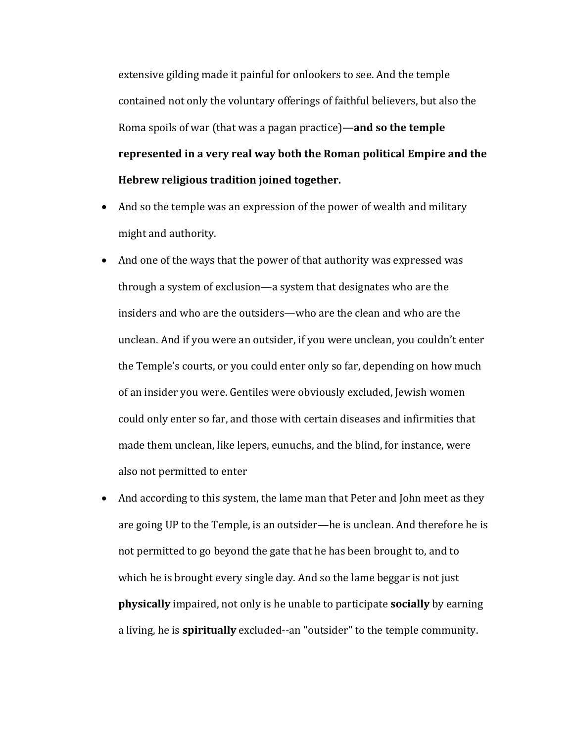extensive gilding made it painful for onlookers to see. And the temple contained not only the voluntary offerings of faithful believers, but also the Roma spoils of war (that was a pagan practice)—and so the temple represented in a very real way both the Roman political Empire and the **Hebrew religious tradition joined together.**

- And so the temple was an expression of the power of wealth and military might and authority.
- And one of the ways that the power of that authority was expressed was through a system of exclusion—a system that designates who are the insiders and who are the outsiders—who are the clean and who are the unclean. And if you were an outsider, if you were unclean, you couldn't enter the Temple's courts, or you could enter only so far, depending on how much of an insider you were. Gentiles were obviously excluded, Jewish women could only enter so far, and those with certain diseases and infirmities that made them unclean, like lepers, eunuchs, and the blind, for instance, were also not permitted to enter
- And according to this system, the lame man that Peter and John meet as they are going UP to the Temple, is an outsider—he is unclean. And therefore he is not permitted to go beyond the gate that he has been brought to, and to which he is brought every single day. And so the lame beggar is not just **physically** impaired, not only is he unable to participate **socially** by earning a living, he is **spiritually** excluded--an "outsider" to the temple community.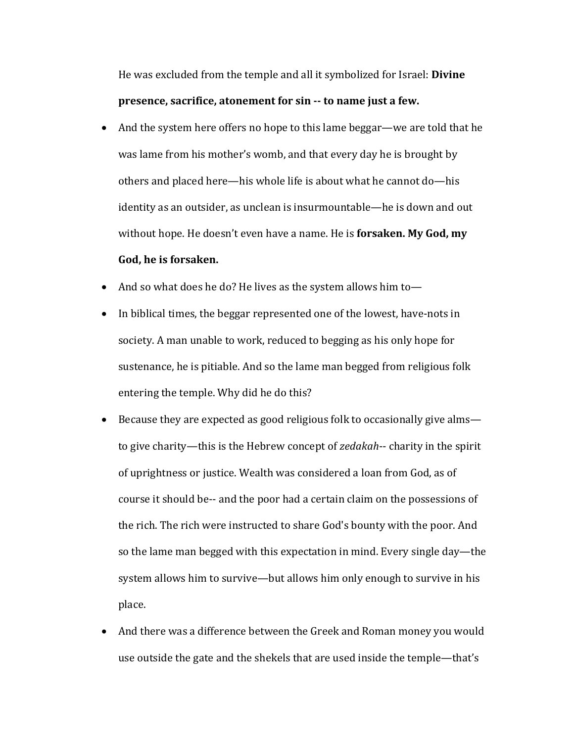He was excluded from the temple and all it symbolized for Israel: **Divine presence, sacrifice, atonement for sin -- to name just a few.** 

- And the system here offers no hope to this lame beggar—we are told that he was lame from his mother's womb, and that every day he is brought by others and placed here—his whole life is about what he cannot do—his identity as an outsider, as unclean is insurmountable—he is down and out without hope. He doesn't even have a name. He is **forsaken. My God, my** God, he is forsaken.
- And so what does he do? He lives as the system allows him to-
- In biblical times, the beggar represented one of the lowest, have-nots in society. A man unable to work, reduced to begging as his only hope for sustenance, he is pitiable. And so the lame man begged from religious folk entering the temple. Why did he do this?
- Because they are expected as good religious folk to occasionally give alms to give charity—this is the Hebrew concept of *zedakah*-- charity in the spirit of uprightness or justice. Wealth was considered a loan from God, as of course it should be-- and the poor had a certain claim on the possessions of the rich. The rich were instructed to share God's bounty with the poor. And so the lame man begged with this expectation in mind. Every single day—the system allows him to survive—but allows him only enough to survive in his place.
- And there was a difference between the Greek and Roman money you would use outside the gate and the shekels that are used inside the temple—that's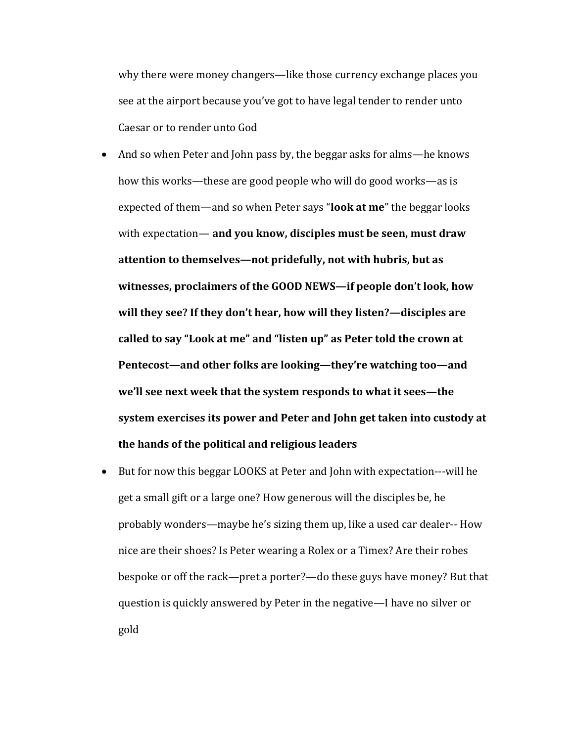why there were money changers—like those currency exchange places you see at the airport because you've got to have legal tender to render unto Caesar or to render unto God

• And so when Peter and John pass by, the beggar asks for alms—he knows how this works—these are good people who will do good works—as is expected of them—and so when Peter says "**look at me**" the beggar looks with expectation— and you know, disciples must be seen, must draw attention to themselves—not pridefully, not with hubris, but as witnesses, proclaimers of the GOOD NEWS-if people don't look, how will they see? If they don't hear, how will they listen?—disciples are called to say "Look at me" and "listen up" as Peter told the crown at Pentecost—and other folks are looking—they're watching too—and we'll see next week that the system responds to what it sees—the system exercises its power and Peter and John get taken into custody at the hands of the political and religious leaders

• But for now this beggar LOOKS at Peter and John with expectation---will he get a small gift or a large one? How generous will the disciples be, he probably wonders—maybe he's sizing them up, like a used car dealer-- How nice are their shoes? Is Peter wearing a Rolex or a Timex? Are their robes bespoke or off the rack—pret a porter?—do these guys have money? But that question is quickly answered by Peter in the negative—I have no silver or gold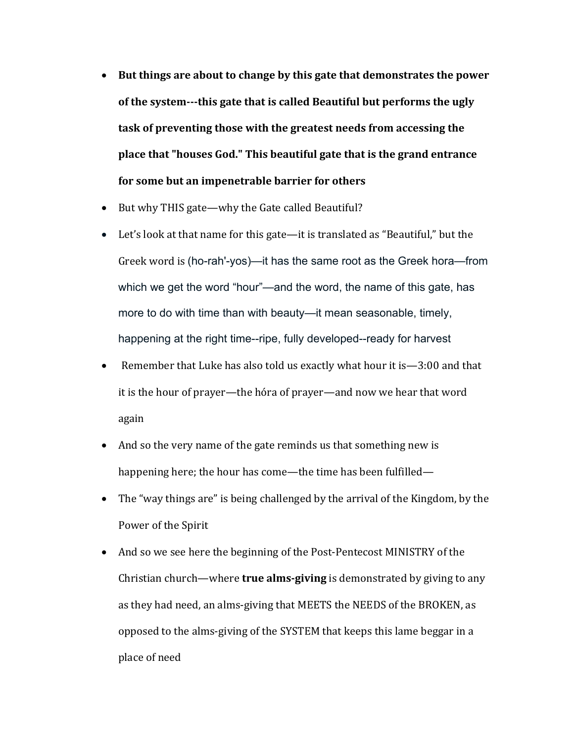- But things are about to change by this gate that demonstrates the power of the system---this gate that is called Beautiful but performs the ugly task of preventing those with the greatest needs from accessing the **place that "houses God."** This beautiful gate that is the grand entrance for some but an impenetrable barrier for others
- But why THIS gate—why the Gate called Beautiful?
- Let's look at that name for this gate—it is translated as "Beautiful," but the Greek word is (ho-rah'-yos)—it has the same root as the Greek hora—from which we get the word "hour"—and the word, the name of this gate, has more to do with time than with beauty—it mean seasonable, timely, happening at the right time--ripe, fully developed--ready for harvest
- Remember that Luke has also told us exactly what hour it is  $-3:00$  and that it is the hour of prayer—the hóra of prayer—and now we hear that word again
- And so the very name of the gate reminds us that something new is happening here; the hour has come—the time has been fulfilled—
- The "way things are" is being challenged by the arrival of the Kingdom, by the Power of the Spirit
- And so we see here the beginning of the Post-Pentecost MINISTRY of the Christian church—where **true alms-giving** is demonstrated by giving to any as they had need, an alms-giving that MEETS the NEEDS of the BROKEN, as opposed to the alms-giving of the SYSTEM that keeps this lame beggar in a place of need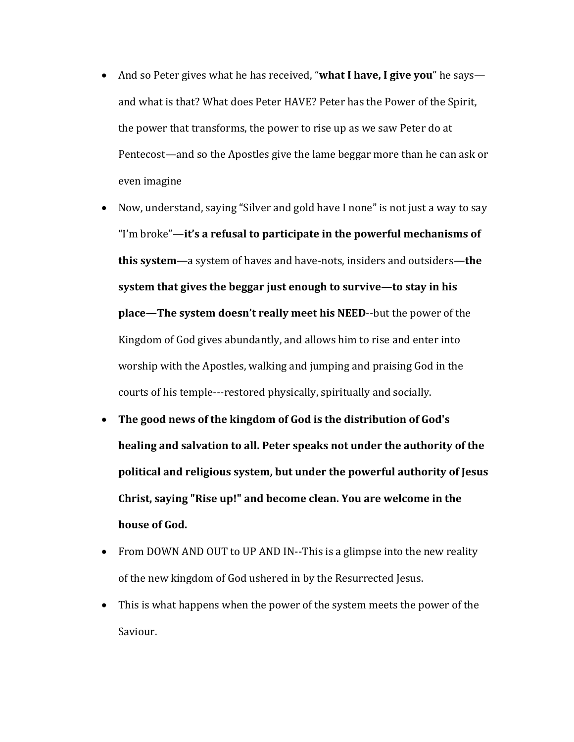- And so Peter gives what he has received, "what I have, I give you" he says and what is that? What does Peter HAVE? Peter has the Power of the Spirit, the power that transforms, the power to rise up as we saw Peter do at Pentecost—and so the Apostles give the lame beggar more than he can ask or even imagine
- Now, understand, saying "Silver and gold have I none" is not just a way to say "I'm broke"—it's a refusal to participate in the powerful mechanisms of **this system**—a system of haves and have-nots, insiders and outsiders—the system that gives the beggar just enough to survive—to stay in his **place—The system doesn't really meet his NEED--but the power of the** Kingdom of God gives abundantly, and allows him to rise and enter into worship with the Apostles, walking and jumping and praising God in the courts of his temple---restored physically, spiritually and socially.
- The good news of the kingdom of God is the distribution of God's **healing and salvation to all. Peter speaks not under the authority of the** political and religious system, but under the powerful authority of Jesus Christ, saying "Rise up!" and become clean. You are welcome in the **house of God.**
- From DOWN AND OUT to UP AND IN--This is a glimpse into the new reality of the new kingdom of God ushered in by the Resurrected Jesus.
- This is what happens when the power of the system meets the power of the Saviour.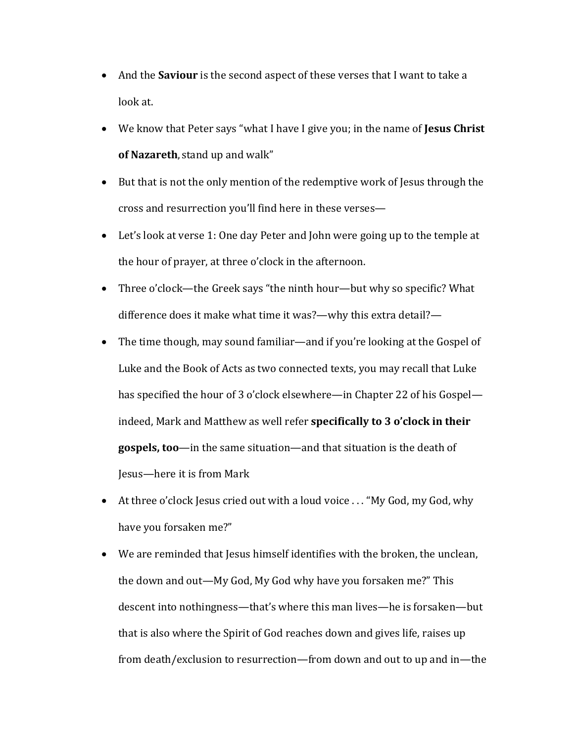- And the **Saviour** is the second aspect of these verses that I want to take a look at.
- We know that Peter says "what I have I give you; in the name of **Jesus Christ of Nazareth**, stand up and walk"
- But that is not the only mention of the redemptive work of Jesus through the cross and resurrection you'll find here in these verses-
- Let's look at verse 1: One day Peter and John were going up to the temple at the hour of prayer, at three o'clock in the afternoon.
- Three o'clock—the Greek says "the ninth hour—but why so specific? What difference does it make what time it was?—why this extra detail?—
- The time though, may sound familiar—and if you're looking at the Gospel of Luke and the Book of Acts as two connected texts, you may recall that Luke has specified the hour of 3 o'clock elsewhere—in Chapter 22 of his Gospel indeed, Mark and Matthew as well refer **specifically to 3 o'clock in their gospels, too**—in the same situation—and that situation is the death of Jesus—here it is from Mark
- At three o'clock Jesus cried out with a loud voice ... "My God, my God, why have you forsaken me?"
- We are reminded that Jesus himself identifies with the broken, the unclean, the down and out—My God, My God why have you forsaken me?" This descent into nothingness—that's where this man lives—he is forsaken—but that is also where the Spirit of God reaches down and gives life, raises up from death/exclusion to resurrection—from down and out to up and in—the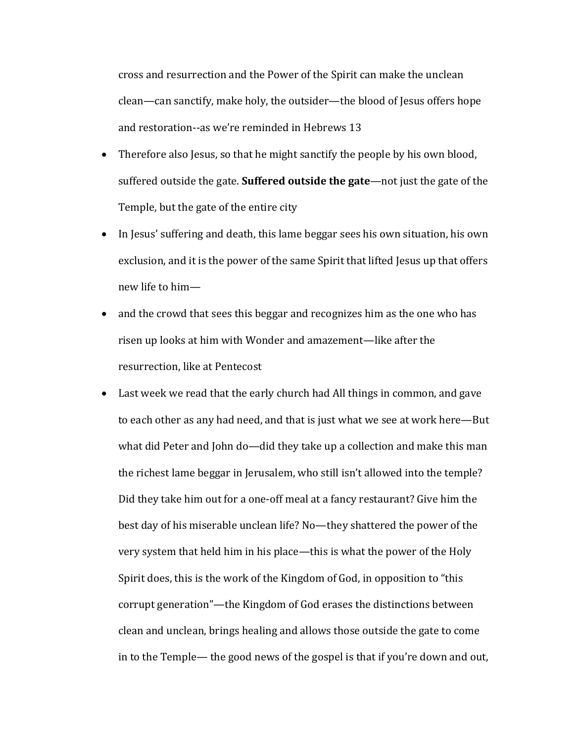cross and resurrection and the Power of the Spirit can make the unclean clean—can sanctify, make holy, the outsider—the blood of Jesus offers hope and restoration--as we're reminded in Hebrews 13

- Therefore also Jesus, so that he might sanctify the people by his own blood, suffered outside the gate. **Suffered outside the gate**—not just the gate of the Temple, but the gate of the entire city
- In Jesus' suffering and death, this lame beggar sees his own situation, his own exclusion, and it is the power of the same Spirit that lifted Jesus up that offers new life to him-
- and the crowd that sees this beggar and recognizes him as the one who has risen up looks at him with Wonder and amazement—like after the resurrection, like at Pentecost
- Last week we read that the early church had All things in common, and gave to each other as any had need, and that is just what we see at work here—But what did Peter and John do—did they take up a collection and make this man the richest lame beggar in Jerusalem, who still isn't allowed into the temple? Did they take him out for a one-off meal at a fancy restaurant? Give him the best day of his miserable unclean life? No—they shattered the power of the very system that held him in his place—this is what the power of the Holy Spirit does, this is the work of the Kingdom of God, in opposition to "this corrupt generation"—the Kingdom of God erases the distinctions between clean and unclean, brings healing and allows those outside the gate to come in to the Temple— the good news of the gospel is that if you're down and out,